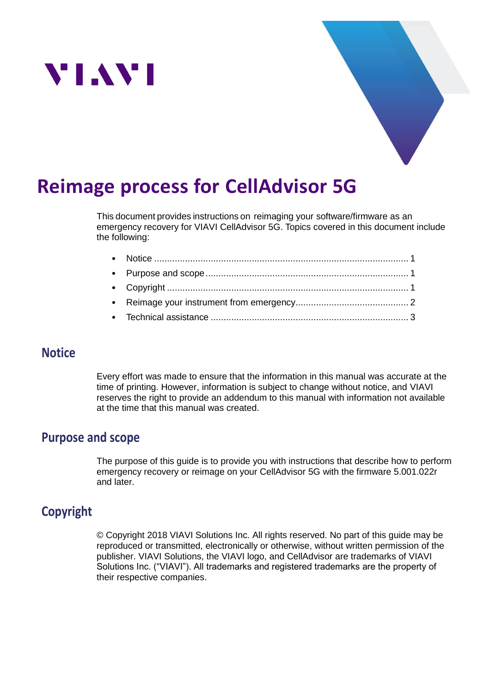



# **Reimage process for CellAdvisor 5G**

This document provides instructions on reimaging your software/firmware as an emergency recovery for VIAVI CellAdvisor 5G. Topics covered in this document include the following:

## <span id="page-0-0"></span>**Notice**

Every effort was made to ensure that the information in this manual was accurate at the time of printing. However, information is subject to change without notice, and VIAVI reserves the right to provide an addendum to this manual with information not available at the time that this manual was created.

## <span id="page-0-1"></span>**Purpose and scope**

The purpose of this guide is to provide you with instructions that describe how to perform emergency recovery or reimage on your CellAdvisor 5G with the firmware 5.001.022r and later.

# <span id="page-0-2"></span>**Copyright**

© Copyright 2018 VIAVI Solutions Inc. All rights reserved. No part of this guide may be reproduced or transmitted, electronically or otherwise, without written permission of the publisher. VIAVI Solutions, the VIAVI logo, and CellAdvisor are trademarks of VIAVI Solutions Inc. ("VIAVI"). All trademarks and registered trademarks are the property of their respective companies.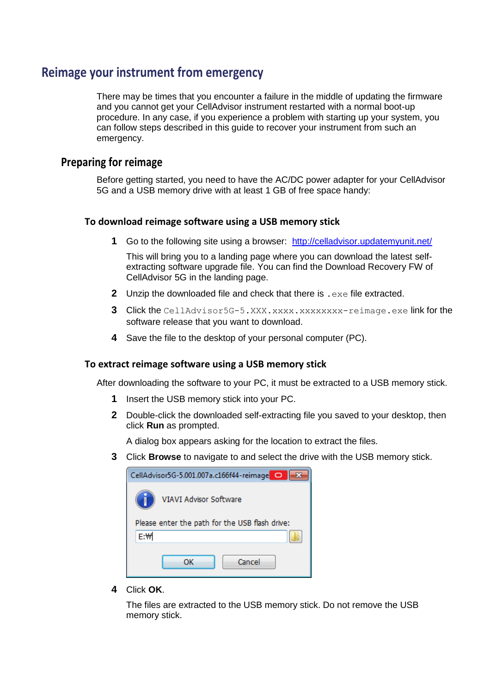## <span id="page-1-0"></span>**Reimage your instrument from emergency**

There may be times that you encounter a failure in the middle of updating the firmware and you cannot get your CellAdvisor instrument restarted with a normal boot-up procedure. In any case, if you experience a problem with starting up your system, you can follow steps described in this guide to recover your instrument from such an emergency.

### **Preparing for reimage**

Before getting started, you need to have the AC/DC power adapter for your CellAdvisor 5G and a USB memory drive with at least 1 GB of free space handy:

#### **To download reimage software using a USB memory stick**

**1** Go to the following site using a browser: <http://celladvisor.updatemyunit.net/>

This will bring you to a landing page where you can download the latest selfextracting software upgrade file. You can find the Download Recovery FW of CellAdvisor 5G in the landing page.

- **2** Unzip the downloaded file and check that there is . exe file extracted.
- **3** Click the CellAdvisor5G-5.XXX.xxxx.xxxxxxxxx-reimage.exe link for the software release that you want to download.
- **4** Save the file to the desktop of your personal computer (PC).

#### **To extract reimage software using a USB memory stick**

After downloading the software to your PC, it must be extracted to a USB memory stick.

- **1** Insert the USB memory stick into your PC.
- **2** Double-click the downloaded self-extracting file you saved to your desktop, then click **Run** as prompted.

A dialog box appears asking for the location to extract the files.

**3** Click **Browse** to navigate to and select the drive with the USB memory stick.

| CellAdvisor5G-5.001.007a.c166f44-reimage O     |
|------------------------------------------------|
| <b>VIAVI Advisor Software</b>                  |
| Please enter the path for the USB flash drive: |
| E:\                                            |
| Cancel<br>nκ                                   |

**4** Click **OK**.

The files are extracted to the USB memory stick. Do not remove the USB memory stick.